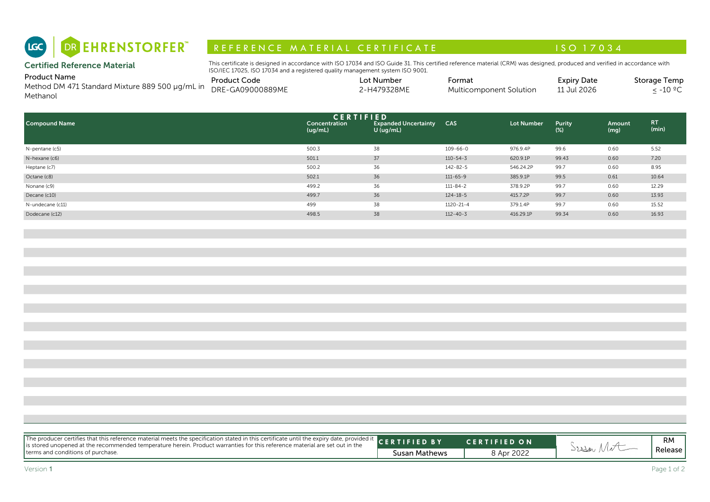# R E F E R E N C E MAT E RIAL CERTIFICATE A LA COMPRESSIONE DE LA CONSTITUTION A LA CONSTITUTION A LA CONSTITUI

| Product Name                                    | <b>Product Code</b> | Lot Number  | -ormat                  | <b>Expiry Date</b> | Storage Temp    |
|-------------------------------------------------|---------------------|-------------|-------------------------|--------------------|-----------------|
| Method DM 471 Standard Mixture 889 500 µg/mL in | DRE-GA09000889ME    | 2-H479328ME | Multicomponent Solution | 11 Jul 2026        | 1000<br>$-10 -$ |
| Methanol                                        |                     |             |                         |                    |                 |

| DR EHRENSTORFER"<br>LGC                                                            | REFERENCE MATERIAL CERTIFICATE                                                                                                                                                                                                                              |                                                                |                 |                         | ISO 17034                         |                |                                         |
|------------------------------------------------------------------------------------|-------------------------------------------------------------------------------------------------------------------------------------------------------------------------------------------------------------------------------------------------------------|----------------------------------------------------------------|-----------------|-------------------------|-----------------------------------|----------------|-----------------------------------------|
| <b>Certified Reference Material</b>                                                | This certificate is designed in accordance with ISO 17034 and ISO Guide 31. This certified reference material (CRM) was designed, produced and verified in accordance with<br>ISO/IEC 17025, ISO 17034 and a registered quality management system ISO 9001. |                                                                |                 |                         |                                   |                |                                         |
| <b>Product Name</b><br>Method DM 471 Standard Mixture 889 500 µg/mL in<br>Methanol | <b>Product Code</b><br>DRE-GA09000889ME                                                                                                                                                                                                                     | Lot Number<br>2-H479328ME                                      | Format          | Multicomponent Solution | <b>Expiry Date</b><br>11 Jul 2026 |                | Storage Temp<br>$\leq$ -10 $^{\circ}$ C |
| <b>Compound Name</b>                                                               | Concentration<br>(ug/mL)                                                                                                                                                                                                                                    | <b>CERTIFIED</b><br><b>Expanded Uncertainty</b><br>$U$ (ug/mL) | <b>CAS</b>      | <b>Lot Number</b>       | Purity<br>$(\%)$                  | Amount<br>(mg) | RT.<br>(min)                            |
| N-pentane (c5)                                                                     | 500.3                                                                                                                                                                                                                                                       | 38                                                             | $109 - 66 - 0$  | 976.9.4P                | 99.6                              | 0.60           | 5.52                                    |
| N-hexane (c6)                                                                      | 501.1                                                                                                                                                                                                                                                       | 37                                                             | $110 - 54 - 3$  | 620.9.1P                | 99.43                             | 0.60           | 7.20                                    |
| Heptane (c7)                                                                       | 500.2                                                                                                                                                                                                                                                       | 36                                                             | $142 - 82 - 5$  | 546.24.2P               | 99.7                              | 0.60           | 8.95                                    |
| Octane (c8)                                                                        | 502.1                                                                                                                                                                                                                                                       | 36                                                             | $111 - 65 - 9$  | 385.9.1P                | 99.5                              | 0.61           | 10.64                                   |
| Nonane (c9)                                                                        | 499.2                                                                                                                                                                                                                                                       | 36                                                             | $111 - 84 - 2$  | 378.9.2P                | 99.7                              | 0.60           | 12.29                                   |
| Decane (c10)                                                                       | 499.7                                                                                                                                                                                                                                                       | 36                                                             | $124 - 18 - 5$  | 415.7.2P                | 99.7                              | 0.60           | 13.93                                   |
| N-undecane (c11)                                                                   | 499                                                                                                                                                                                                                                                         | 38                                                             | $1120 - 21 - 4$ | 379.1.4P                | 99.7                              | 0.60           | 15.52                                   |
| Dodecane (c12)                                                                     | 498.5                                                                                                                                                                                                                                                       | 38                                                             | $112 - 40 - 3$  | 416.29.1P               | 99.34                             | 0.60           | 16.93                                   |

|                                                                                                                                                                                                                                                                 | RM      |
|-----------------------------------------------------------------------------------------------------------------------------------------------------------------------------------------------------------------------------------------------------------------|---------|
| The producer certifies that this reference material meets the specification stated in this certificate until the expiry date, provided it CERTIFIED BY<br><b>CERTIFIED ON</b><br>Seejar Mot<br>terms and conditions of purchase.<br>8 Apr 2022<br>Susan Mathews | Release |